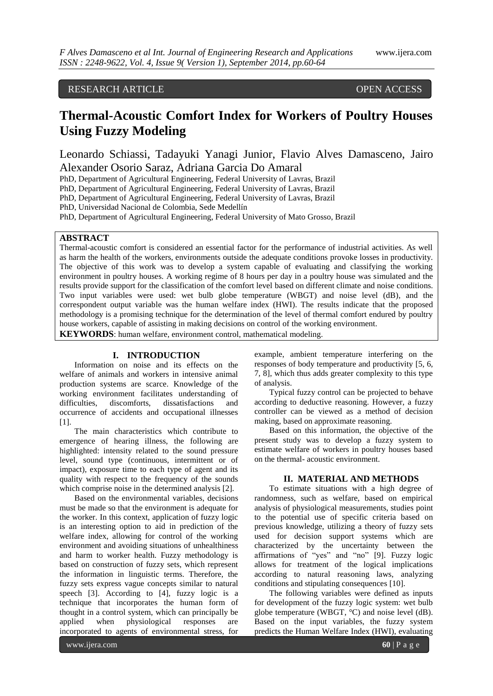## RESEARCH ARTICLE OPEN ACCESS

# **Thermal-Acoustic Comfort Index for Workers of Poultry Houses Using Fuzzy Modeling**

Leonardo Schiassi, Tadayuki Yanagi Junior, Flavio Alves Damasceno, Jairo Alexander Osorio Saraz, Adriana Garcia Do Amaral

PhD, Department of Agricultural Engineering, Federal University of Lavras, Brazil

PhD, Department of Agricultural Engineering, Federal University of Lavras, Brazil

PhD, Department of Agricultural Engineering, Federal University of Lavras, Brazil

PhD, Universidad Nacional de Colombia, Sede Medellín

PhD, Department of Agricultural Engineering, Federal University of Mato Grosso, Brazil

## **ABSTRACT**

Thermal-acoustic comfort is considered an essential factor for the performance of industrial activities. As well as harm the health of the workers, environments outside the adequate conditions provoke losses in productivity. The objective of this work was to develop a system capable of evaluating and classifying the working environment in poultry houses. A working regime of 8 hours per day in a poultry house was simulated and the results provide support for the classification of the comfort level based on different climate and noise conditions. Two input variables were used: wet bulb globe temperature (WBGT) and noise level (dB), and the correspondent output variable was the human welfare index (HWI). The results indicate that the proposed methodology is a promising technique for the determination of the level of thermal comfort endured by poultry house workers, capable of assisting in making decisions on control of the working environment.

**KEYWORDS**: human welfare, environment control, mathematical modeling.

## **I. INTRODUCTION**

Information on noise and its effects on the welfare of animals and workers in intensive animal production systems are scarce. Knowledge of the working environment facilitates understanding of difficulties, discomforts, dissatisfactions and occurrence of accidents and occupational illnesses [1].

The main characteristics which contribute to emergence of hearing illness, the following are highlighted: intensity related to the sound pressure level, sound type (continuous, intermittent or of impact), exposure time to each type of agent and its quality with respect to the frequency of the sounds which comprise noise in the determined analysis [2].

Based on the environmental variables, decisions must be made so that the environment is adequate for the worker. In this context, application of fuzzy logic is an interesting option to aid in prediction of the welfare index, allowing for control of the working environment and avoiding situations of unhealthiness and harm to worker health. Fuzzy methodology is based on construction of fuzzy sets, which represent the information in linguistic terms. Therefore, the fuzzy sets express vague concepts similar to natural speech [3]. According to [4], fuzzy logic is a technique that incorporates the human form of thought in a control system, which can principally be applied when physiological responses are incorporated to agents of environmental stress, for

example, ambient temperature interfering on the responses of body temperature and productivity [5, 6, 7, 8], which thus adds greater complexity to this type of analysis.

Typical fuzzy control can be projected to behave according to deductive reasoning. However, a fuzzy controller can be viewed as a method of decision making, based on approximate reasoning.

Based on this information, the objective of the present study was to develop a fuzzy system to estimate welfare of workers in poultry houses based on the thermal- acoustic environment.

## **II. MATERIAL AND METHODS**

To estimate situations with a high degree of randomness, such as welfare, based on empirical analysis of physiological measurements, studies point to the potential use of specific criteria based on previous knowledge, utilizing a theory of fuzzy sets used for decision support systems which are characterized by the uncertainty between the affirmations of "yes" and "no" [9]. Fuzzy logic allows for treatment of the logical implications according to natural reasoning laws, analyzing conditions and stipulating consequences [10].

The following variables were defined as inputs for development of the fuzzy logic system: wet bulb globe temperature (WBGT,  $^{\circ}$ C) and noise level (dB). Based on the input variables, the fuzzy system predicts the Human Welfare Index (HWI), evaluating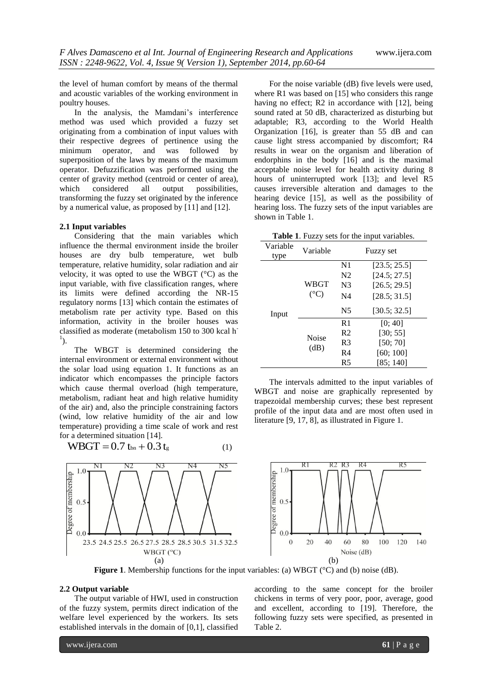the level of human comfort by means of the thermal and acoustic variables of the working environment in poultry houses.

In the analysis, the Mamdani's interference method was used which provided a fuzzy set originating from a combination of input values with their respective degrees of pertinence using the minimum operator, and was followed by superposition of the laws by means of the maximum operator. Defuzzification was performed using the center of gravity method (centroid or center of area), which considered all output possibilities, transforming the fuzzy set originated by the inference by a numerical value, as proposed by [11] and [12].

## **2.1 Input variables**

Considering that the main variables which influence the thermal environment inside the broiler houses are dry bulb temperature, wet bulb temperature, relative humidity, solar radiation and air velocity, it was opted to use the WBGT (°C) as the input variable, with five classification ranges, where its limits were defined according the NR-15 regulatory norms [13] which contain the estimates of metabolism rate per activity type. Based on this information, activity in the broiler houses was classified as moderate (metabolism 150 to 300 kcal h- $\left( \frac{1}{2} \right)$ .

The WBGT is determined considering the internal environment or external environment without the solar load using equation 1. It functions as an indicator which encompasses the principle factors which cause thermal overload (high temperature, metabolism, radiant heat and high relative humidity of the air) and, also the principle constraining factors (wind, low relative humidity of the air and low temperature) providing a time scale of work and rest for a determined situation [14].

$$
WBGT = 0.7 t_{bn} + 0.3 t_{g}
$$
 (1)



For the noise variable (dB) five levels were used, where R1 was based on [15] who considers this range having no effect; R2 in accordance with [12], being sound rated at 50 dB, characterized as disturbing but adaptable; R3, according to the World Health Organization [16], is greater than 55 dB and can cause light stress accompanied by discomfort; R4 results in wear on the organism and liberation of endorphins in the body [16] and is the maximal acceptable noise level for health activity during 8 hours of uninterrupted work [13]; and level R5 causes irreversible alteration and damages to the hearing device [15], as well as the possibility of hearing loss. The fuzzy sets of the input variables are shown in Table 1.

**Table 1**. Fuzzy sets for the input variables.

| Variable<br>type | Variable                | <b>Fuzzy set</b> |              |  |  |
|------------------|-------------------------|------------------|--------------|--|--|
| Input            | WBGT<br>$({}^{\circ}C)$ | N1               | [23.5; 25.5] |  |  |
|                  |                         | N <sub>2</sub>   | [24.5; 27.5] |  |  |
|                  |                         | N <sub>3</sub>   | [26.5; 29.5] |  |  |
|                  |                         | N4               | [28.5; 31.5] |  |  |
|                  |                         | N <sub>5</sub>   | [30.5; 32.5] |  |  |
|                  | Noise<br>(dB)           | R <sub>1</sub>   | [0; 40]      |  |  |
|                  |                         | R <sub>2</sub>   | [30; 55]     |  |  |
|                  |                         | R3               | [50; 70]     |  |  |
|                  |                         | R4               | [60; 100]    |  |  |
|                  |                         | R5               | [85: 140]    |  |  |

The intervals admitted to the input variables of WBGT and noise are graphically represented by trapezoidal membership curves; these best represent profile of the input data and are most often used in literature [9, 17, 8], as illustrated in Figure 1.



**Figure 1**. Membership functions for the input variables: (a) WBGT (°C) and (b) noise (dB).

#### **2.2 Output variable**

The output variable of HWI, used in construction of the fuzzy system, permits direct indication of the welfare level experienced by the workers. Its sets established intervals in the domain of [0,1], classified

according to the same concept for the broiler chickens in terms of very poor, poor, average, good and excellent, according to [19]. Therefore, the following fuzzy sets were specified, as presented in Table 2.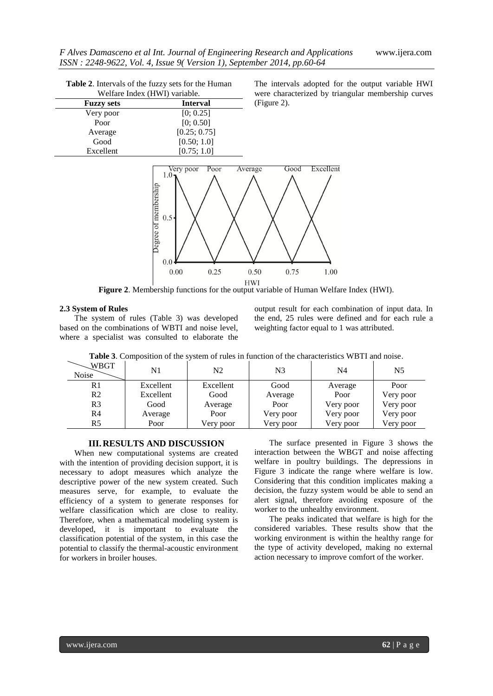| Table 2. Intervals of the fuzzy sets for the Human |                 |  |  |  |  |
|----------------------------------------------------|-----------------|--|--|--|--|
| Welfare Index (HWI) variable.                      |                 |  |  |  |  |
| <b>Fuzzy sets</b>                                  | <b>Interval</b> |  |  |  |  |
| Very poor                                          | [0; 0.25]       |  |  |  |  |
| Poor                                               | [0; 0.50]       |  |  |  |  |
| Average                                            | [0.25; 0.75]    |  |  |  |  |
| Good                                               | [0.50; 1.0]     |  |  |  |  |
| Excellent                                          | [0.75; 1.0]     |  |  |  |  |

The intervals adopted for the output variable HWI were characterized by triangular membership curves (Figure 2).



**Figure 2**. Membership functions for the output variable of Human Welfare Index (HWI).

## **2.3 System of Rules**

The system of rules (Table 3) was developed based on the combinations of WBTI and noise level, where a specialist was consulted to elaborate the

output result for each combination of input data. In the end, 25 rules were defined and for each rule a weighting factor equal to 1 was attributed.

| WBGT<br><b>Noise</b> | N <sub>1</sub> | N2        | N3        | N4        | N <sub>5</sub> |
|----------------------|----------------|-----------|-----------|-----------|----------------|
| R1                   | Excellent      | Excellent | Good      | Average   | Poor           |
| R <sub>2</sub>       | Excellent      | Good      | Average   | Poor      | Very poor      |
| R <sub>3</sub>       | Good           | Average   | Poor      | Very poor | Very poor      |
| R <sub>4</sub>       | Average        | Poor      | Very poor | Very poor | Very poor      |
| R <sub>5</sub>       | Poor           | Very poor | Very poor | Very poor | Very poor      |

**Table 3**. Composition of the system of rules in function of the characteristics WBTI and noise.

## **III.RESULTS AND DISCUSSION**

When new computational systems are created with the intention of providing decision support, it is necessary to adopt measures which analyze the descriptive power of the new system created. Such measures serve, for example, to evaluate the efficiency of a system to generate responses for welfare classification which are close to reality. Therefore, when a mathematical modeling system is developed, it is important to evaluate the classification potential of the system, in this case the potential to classify the thermal-acoustic environment for workers in broiler houses.

The surface presented in Figure 3 shows the interaction between the WBGT and noise affecting welfare in poultry buildings. The depressions in Figure 3 indicate the range where welfare is low. Considering that this condition implicates making a decision, the fuzzy system would be able to send an alert signal, therefore avoiding exposure of the worker to the unhealthy environment.

The peaks indicated that welfare is high for the considered variables. These results show that the working environment is within the healthy range for the type of activity developed, making no external action necessary to improve comfort of the worker.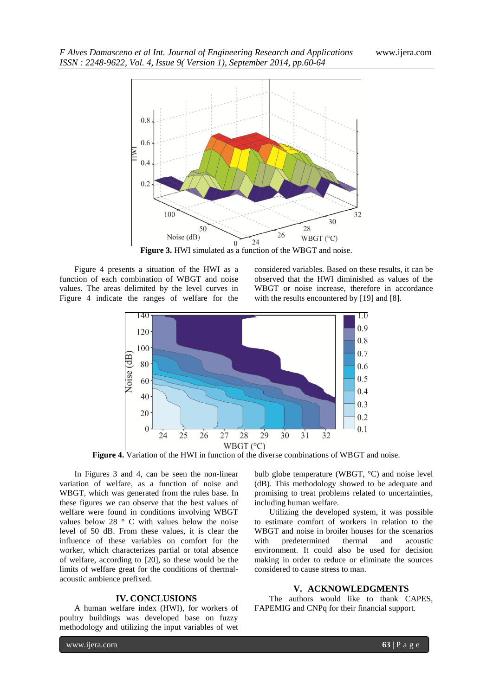

**Figure 3.** HWI simulated as a function of the WBGT and noise.

Figure 4 presents a situation of the HWI as a function of each combination of WBGT and noise values. The areas delimited by the level curves in Figure 4 indicate the ranges of welfare for the considered variables. Based on these results, it can be observed that the HWI diminished as values of the WBGT or noise increase, therefore in accordance with the results encountered by [19] and [8].



**Figure 4.** Variation of the HWI in function of the diverse combinations of WBGT and noise.

In Figures 3 and 4, can be seen the non-linear variation of welfare, as a function of noise and WBGT, which was generated from the rules base. In these figures we can observe that the best values of welfare were found in conditions involving WBGT values below 28 ° C with values below the noise level of 50 dB. From these values, it is clear the influence of these variables on comfort for the worker, which characterizes partial or total absence of welfare, according to [20], so these would be the limits of welfare great for the conditions of thermalacoustic ambience prefixed.

#### **IV. CONCLUSIONS**

A human welfare index (HWI), for workers of poultry buildings was developed base on fuzzy methodology and utilizing the input variables of wet

bulb globe temperature (WBGT, °C) and noise level (dB). This methodology showed to be adequate and promising to treat problems related to uncertainties, including human welfare.

Utilizing the developed system, it was possible to estimate comfort of workers in relation to the WBGT and noise in broiler houses for the scenarios with predetermined thermal and acoustic environment. It could also be used for decision making in order to reduce or eliminate the sources considered to cause stress to man.

#### **V. ACKNOWLEDGMENTS**

The authors would like to thank CAPES, FAPEMIG and CNPq for their financial support.